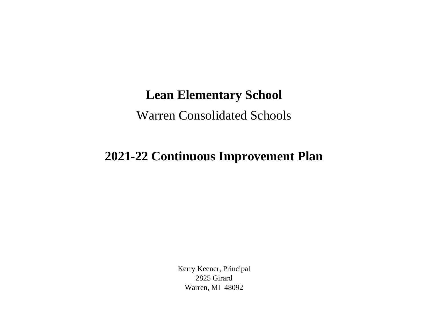## **Lean Elementary School**

Warren Consolidated Schools

## **2021-22 Continuous Improvement Plan**

Kerry Keener, Principal 2825 Girard Warren, MI 48092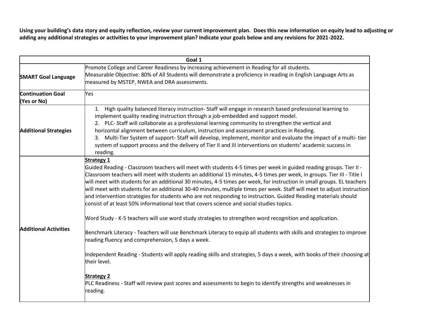**Using your building's data story and equity reflection, review your current improvement plan. Does this new information on equity lead to adjusting or adding any additional strategies or activities to your improvement plan? Indicate your goals below and any revisions for 2021-2022.**

| Goal 1                                  |                                                                                                                                                                                                                                                                                                                                                                                                                                                                                                                                                                                                                                                                                                                                                                                                                                                                                                                                                                                                                                                                                                                                                             |  |
|-----------------------------------------|-------------------------------------------------------------------------------------------------------------------------------------------------------------------------------------------------------------------------------------------------------------------------------------------------------------------------------------------------------------------------------------------------------------------------------------------------------------------------------------------------------------------------------------------------------------------------------------------------------------------------------------------------------------------------------------------------------------------------------------------------------------------------------------------------------------------------------------------------------------------------------------------------------------------------------------------------------------------------------------------------------------------------------------------------------------------------------------------------------------------------------------------------------------|--|
| <b>SMART Goal Language</b>              | Promote College and Career Readiness by increasing achievement in Reading for all students.<br>Measurable Objective: 80% of All Students will demonstrate a proficiency in reading in English Language Arts as<br>measured by MSTEP, NWEA and DRA assessments.                                                                                                                                                                                                                                                                                                                                                                                                                                                                                                                                                                                                                                                                                                                                                                                                                                                                                              |  |
| <b>Continuation Goal</b><br>(Yes or No) | <b>Yes</b>                                                                                                                                                                                                                                                                                                                                                                                                                                                                                                                                                                                                                                                                                                                                                                                                                                                                                                                                                                                                                                                                                                                                                  |  |
| <b>Additional Strategies</b>            | 1. High quality balanced literacy instruction-Staff will engage in research based professional learning to<br>implement quality reading instruction through a job-embedded and support model.<br>2. PLC-Staff will collaborate as a professional learning community to strengthen the vertical and<br>horizontal alignment between curriculum, instruction and assessment practices in Reading.<br>3. Multi-Tier System of support-Staff will develop, implement, monitor and evaluate the impact of a multi-tier<br>system of support process and the delivery of Tier II and III interventions on students' academic success in<br>reading.                                                                                                                                                                                                                                                                                                                                                                                                                                                                                                               |  |
| <b>Additional Activities</b>            | <b>Strategy 1</b><br>Guided Reading - Classroom teachers will meet with students 4-5 times per week in guided reading groups. Tier II -<br>Classroom teachers will meet with students an additional 15 minutes, 4-5 times per week, in groups. Tier III - Title I<br>will meet with students for an additional 30 minutes, 4-5 times per week, for instruction in small groups. EL teachers<br>will meet with students for an additional 30-40 minutes, multiple times per week. Staff will meet to adjust instruction<br>and intervention strategies for students who are not responding to instruction. Guided Reading materials should<br>consist of at least 50% informational text that covers science and social studies topics.<br>Word Study - K-5 teachers will use word study strategies to strengthen word recognition and application.<br>Benchmark Literacy - Teachers will use Benchmark Literacy to equip all students with skills and strategies to improve<br>reading fluency and comprehension, 5 days a week.<br>Independent Reading - Students will apply reading skills and strategies, 5 days a week, with books of their choosing at |  |
|                                         | their level.<br><b>Strategy 2</b><br>PLC Readiness - Staff will review past scores and assessments to begin to identify strengths and weaknesses in<br>reading.                                                                                                                                                                                                                                                                                                                                                                                                                                                                                                                                                                                                                                                                                                                                                                                                                                                                                                                                                                                             |  |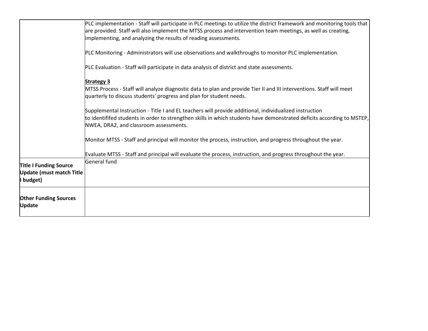|                                                                               | PLC implementation - Staff will participate in PLC meetings to utilize the district framework and monitoring tools that<br>are provided. Staff will also implement the MTSS process and intervention team meetings, as well as creating,<br>implementing, and analyzing the results of reading assessments. |
|-------------------------------------------------------------------------------|-------------------------------------------------------------------------------------------------------------------------------------------------------------------------------------------------------------------------------------------------------------------------------------------------------------|
|                                                                               | PLC Monitoring - Administrators will use observations and walkthroughs to monitor PLC implementation.                                                                                                                                                                                                       |
|                                                                               | PLC Evaluation - Staff will participate in data analysis of district and state assessments.                                                                                                                                                                                                                 |
|                                                                               | <b>Strategy 3</b><br>MTSS Process - Staff will analyze diagnostic data to plan and provide Tier II and III interventions. Staff will meet<br>quarterly to discuss students' progress and plan for student needs.                                                                                            |
|                                                                               | Supplemental Instruction - Title I and EL teachers will provide additional, individualized instruction<br>to identififed students in order to strengthen skills in which students have demonstrated deficits according to MSTEP,<br>NWEA, DRA2, and classroom assessments.                                  |
|                                                                               | Monitor MTSS - Staff and principal will monitor the process, instruction, and progress throughout the year.                                                                                                                                                                                                 |
|                                                                               | Evaluate MTSS - Staff and principal will evaluate the process, instruction, and progress throughout the year.                                                                                                                                                                                               |
| <b>Title I Funding Source</b><br><b>Update (must match Title</b><br>I budget) | General fund                                                                                                                                                                                                                                                                                                |
| <b>Other Funding Sources</b><br>Update                                        |                                                                                                                                                                                                                                                                                                             |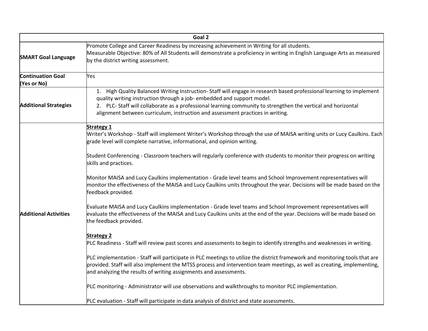| Goal 2                                  |                                                                                                                                                                                                                                                                                                                                                                                                 |
|-----------------------------------------|-------------------------------------------------------------------------------------------------------------------------------------------------------------------------------------------------------------------------------------------------------------------------------------------------------------------------------------------------------------------------------------------------|
| <b>SMART Goal Language</b>              | Promote College and Career Readiness by increasing achievement in Writing for all students.<br>Measurable Objective: 80% of All Students will demonstrate a proficiency in writing in English Language Arts as measured<br>by the district writing assessment.                                                                                                                                  |
| <b>Continuation Goal</b><br>(Yes or No) | Yes                                                                                                                                                                                                                                                                                                                                                                                             |
| <b>Additional Strategies</b>            | 1. High Quality Balanced Writing Instruction-Staff will engage in research based professional learning to implement<br>quality writing instruction through a job- embedded and support model.<br>2. PLC-Staff will collaborate as a professional learning community to strengthen the vertical and horizontal<br>alignment between curriculum, instruction and assessment practices in writing. |
| <b>Additional Activities</b>            | <b>Strategy 1</b><br>Writer's Workshop - Staff will implement Writer's Workshop through the use of MAISA writing units or Lucy Caulkins. Each<br>grade level will complete narrative, informational, and opinion writing.                                                                                                                                                                       |
|                                         | Student Conferencing - Classroom teachers will regularly conference with students to monitor their progress on writing<br>skills and practices.                                                                                                                                                                                                                                                 |
|                                         | Monitor MAISA and Lucy Caulkins implementation - Grade level teams and School Improvement representatives will<br>monitor the effectiveness of the MAISA and Lucy Caulkins units throughout the year. Decisions will be made based on the<br>feedback provided.                                                                                                                                 |
|                                         | Evaluate MAISA and Lucy Caulkins implementation - Grade level teams and School Improvement representatives will<br>evaluate the effectiveness of the MAISA and Lucy Caulkins units at the end of the year. Decisions will be made based on<br>the feedback provided.                                                                                                                            |
|                                         | <b>Strategy 2</b><br>PLC Readiness - Staff will review past scores and assessments to begin to identify strengths and weaknesses in writing.                                                                                                                                                                                                                                                    |
|                                         | PLC implementation - Staff will participate in PLC meetings to utilize the district framework and monitoring tools that are<br>provided. Staff will also implement the MTSS process and intervention team meetings, as well as creating, implementing,<br>and analyzing the results of writing assignments and assessments.                                                                     |
|                                         | PLC monitoring - Administrator will use observations and walkthroughs to monitor PLC implementation.                                                                                                                                                                                                                                                                                            |
|                                         | PLC evaluation - Staff will participate in data analysis of district and state assessments.                                                                                                                                                                                                                                                                                                     |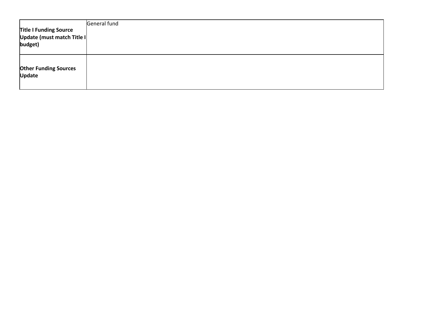| <b>Title I Funding Source</b><br>Update (must match Title I<br>budget) | General fund |
|------------------------------------------------------------------------|--------------|
| <b>Other Funding Sources</b><br><b>Update</b>                          |              |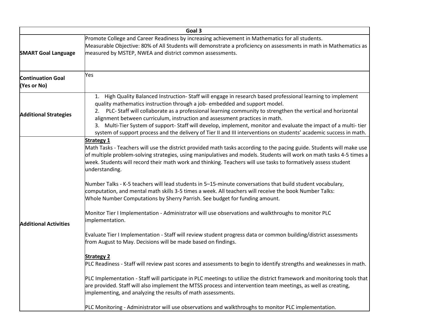|                                         | Goal 3                                                                                                                                                                                                                                                                                                                                                                                                                                                                                                                                                                                                                                                                                                                                                                                                                                                                                                                                                                                                                                                                                                                                                                                                                                                                                                                                                                                                                                                                                                                                                                                            |
|-----------------------------------------|---------------------------------------------------------------------------------------------------------------------------------------------------------------------------------------------------------------------------------------------------------------------------------------------------------------------------------------------------------------------------------------------------------------------------------------------------------------------------------------------------------------------------------------------------------------------------------------------------------------------------------------------------------------------------------------------------------------------------------------------------------------------------------------------------------------------------------------------------------------------------------------------------------------------------------------------------------------------------------------------------------------------------------------------------------------------------------------------------------------------------------------------------------------------------------------------------------------------------------------------------------------------------------------------------------------------------------------------------------------------------------------------------------------------------------------------------------------------------------------------------------------------------------------------------------------------------------------------------|
| <b>SMART Goal Language</b>              | Promote College and Career Readiness by increasing achievement in Mathematics for all students.<br>Measurable Objective: 80% of All Students will demonstrate a proficiency on assessments in math in Mathematics as<br>measured by MSTEP, NWEA and district common assessments.                                                                                                                                                                                                                                                                                                                                                                                                                                                                                                                                                                                                                                                                                                                                                                                                                                                                                                                                                                                                                                                                                                                                                                                                                                                                                                                  |
| <b>Continuation Goal</b><br>(Yes or No) | Yes                                                                                                                                                                                                                                                                                                                                                                                                                                                                                                                                                                                                                                                                                                                                                                                                                                                                                                                                                                                                                                                                                                                                                                                                                                                                                                                                                                                                                                                                                                                                                                                               |
| <b>Additional Strategies</b>            | 1. High Quality Balanced Instruction-Staff will engage in research based professional learning to implement<br>quality mathematics instruction through a job- embedded and support model.<br>PLC- Staff will collaborate as a professional learning community to strengthen the vertical and horizontal<br>alignment between curriculum, instruction and assessment practices in math.<br>3. Multi-Tier System of support-Staff will develop, implement, monitor and evaluate the impact of a multi-tier<br>system of support process and the delivery of Tier II and III interventions on students' academic success in math.                                                                                                                                                                                                                                                                                                                                                                                                                                                                                                                                                                                                                                                                                                                                                                                                                                                                                                                                                                    |
| <b>Additional Activities</b>            | <b>Strategy 1</b><br>Math Tasks - Teachers will use the district provided math tasks according to the pacing guide. Students will make use<br>of multiple problem-solving strategies, using manipulatives and models. Students will work on math tasks 4-5 times a<br>week. Students will record their math work and thinking. Teachers will use tasks to formatively assess student<br>understanding.<br>Number Talks - K-5 teachers will lead students in 5-15-minute conversations that build student vocabulary,<br>computation, and mental math skills 3-5 times a week. All teachers will receive the book Number Talks:<br>Whole Number Computations by Sherry Parrish. See budget for funding amount.<br>Monitor Tier I Implementation - Administrator will use observations and walkthroughs to monitor PLC<br>implementation.<br>Evaluate Tier I Implementation - Staff will review student progress data or common building/district assessments<br>from August to May. Decisions will be made based on findings.<br><b>Strategy 2</b><br>PLC Readiness - Staff will review past scores and assessments to begin to identify strengths and weaknesses in math.<br>PLC Implementation - Staff will participate in PLC meetings to utilize the district framework and monitoring tools that $ $<br>are provided. Staff will also implement the MTSS process and intervention team meetings, as well as creating,<br>implementing, and analyzing the results of math assessments.<br>PLC Monitoring - Administrator will use observations and walkthroughs to monitor PLC implementation. |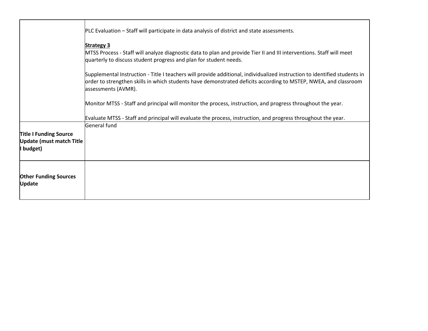|                                               | PLC Evaluation – Staff will participate in data analysis of district and state assessments.                                                                                                                                                                         |
|-----------------------------------------------|---------------------------------------------------------------------------------------------------------------------------------------------------------------------------------------------------------------------------------------------------------------------|
|                                               | <b>Strategy 3</b><br>MTSS Process - Staff will analyze diagnostic data to plan and provide Tier II and III interventions. Staff will meet<br>quarterly to discuss student progress and plan for student needs.                                                      |
|                                               | Supplemental Instruction - Title I teachers will provide additional, individualized instruction to identified students in<br>order to strengthen skills in which students have demonstrated deficits according to MSTEP, NWEA, and classroom<br>assessments (AVMR). |
|                                               | Monitor MTSS - Staff and principal will monitor the process, instruction, and progress throughout the year.                                                                                                                                                         |
|                                               | Evaluate MTSS - Staff and principal will evaluate the process, instruction, and progress throughout the year.                                                                                                                                                       |
|                                               | General fund                                                                                                                                                                                                                                                        |
| <b>Title I Funding Source</b>                 |                                                                                                                                                                                                                                                                     |
| <b>Update (must match Title</b>               |                                                                                                                                                                                                                                                                     |
| budget)                                       |                                                                                                                                                                                                                                                                     |
| <b>Other Funding Sources</b><br><b>Update</b> |                                                                                                                                                                                                                                                                     |